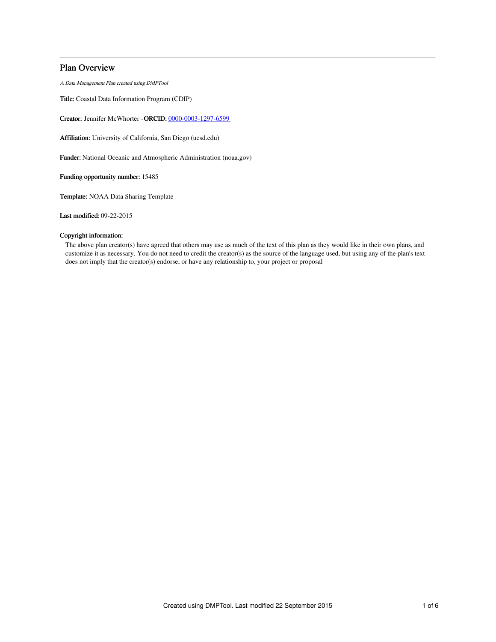## Plan Overview

A Data Management Plan created using DMPTool

Title: Coastal Data Information Program (CDIP)

Creator: Jennifer McWhorter -ORCID: [0000-0003-1297-6599](https://orcid.org/0000-0003-1297-6599)

Affiliation: University of California, San Diego (ucsd.edu)

Funder: National Oceanic and Atmospheric Administration (noaa.gov)

Funding opportunity number: 15485

Template: NOAA Data Sharing Template

Last modified: 09-22-2015

## Copyright information:

The above plan creator(s) have agreed that others may use as much of the text of this plan as they would like in their own plans, and customize it as necessary. You do not need to credit the creator(s) as the source of the language used, but using any of the plan's text does not imply that the creator(s) endorse, or have any relationship to, your project or proposal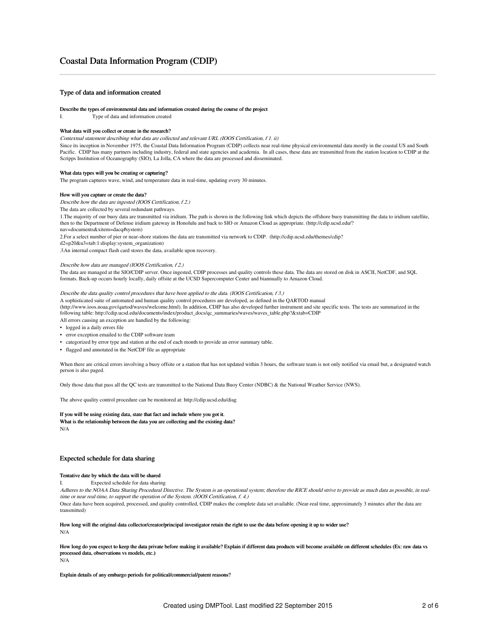## Type of data and information created

#### Describe the types of environmental data and information created during the course of the project

I. Type of data and information created

#### What data will you collect or create in the research?

Contextual statement describing what data are collected and relevant URL (IOOS Certification, f 1. ii)

Since its inception in November 1975, the Coastal Data Information Program (CDIP) collects near real-time physical environmental data mostly in the coastal US and South Pacific. CDIP has many partners including industry, federal and state agencies and academia. In all cases, these data are transmitted from the station location to CDIP at the Scripps Institution of Oceanography (SIO), La Jolla, CA where the data are processed and disseminated.

#### What data types will you be creating or capturing?

The program captures wave, wind, and temperature data in real-time, updating every 30 minutes.

#### How will you capture or create the data?

Describe how the data are ingested (IOOS Certification, f 2.)

The data are collected by several redundant pathways.

1.The majority of our buoy data are transmitted via iridium. The path is shown in the following link which depicts the offshore buoy transmitting the data to iridium satellite, then to the Department of Defense iridium gateway in Honolulu and back to SIO or Amazon Cloud as appropriate. (http://cdip.ucsd.edu/?

nav=documents&xitem=dacq#system)

2.For a select number of pier or near-shore stations the data are transmitted via network to CDIP. (http://cdip.ucsd.edu/themes/cdip?

d2=p20&u3=tab:1:display:system\_organization)

3.An internal compact flash card stores the data, available upon recovery.

#### Describe how data are managed (IOOS Certification, f 2.)

The data are managed at the SIO/CDIP server. Once ingested, CDIP processes and quality controls these data. The data are stored on disk in ASCII, NetCDF, and SQL formats. Back-up occurs hourly locally, daily offsite at the UCSD Supercomputer Center and biannually to Amazon Cloud.

## Describe the data quality control procedures that have been applied to the data. (IOOS Certification, f 3.)

A sophisticated suite of automated and human quality control procedures are developed, as defined in the QARTOD manual (http://www.ioos.noaa.gov/qartod/waves/welcome.html). In addition, CDIP has also developed further instrument and site specific tests. The tests are summarized in the following table: http://cdip.ucsd.edu/documents/index/product\_docs/qc\_summaries/waves/waves\_table.php?&xtab=CDIP

All errors causing an exception are handled by the following:

- logged in a daily errors file
- error exception emailed to the CDIP software team
- categorized by error type and station at the end of each month to provide an error summary table.
- flagged and annotated in the NetCDF file as appropriate

When there are critical errors involving a buoy offsite or a station that has not updated within 3 hours, the software team is not only notified via email but, a designated watch person is also paged.

Only those data that pass all the QC tests are transmitted to the National Data Buoy Center (NDBC) & the National Weather Service (NWS).

The above quality control procedure can be monitored at: http://cdip.ucsd.edu/diag

#### If you will be using existing data, state that fact and include where you got it.

What is the relationship between the data you are collecting and the existing data? N/A

Explain details of any embargo periods for political/commercial/patent reasons?

## Expected schedule for data sharing

#### Tentative date by which the data will be shared

I. Expected schedule for data sharing

Adheres to the NOAA Data Sharing Procedural Directive. The System is an operational system; therefore the RICE should strive to provide as much data as possible, in realtime or near real-time, to support the operation of the System. (IOOS Certification, f. 4.)

Once data have been acquired, processed, and quality controlled, CDIP makes the complete data set available. (Near-real time, approximately 3 minutes after the data are transmitted)

## How long will the original data collector/creator/principal investigator retain the right to use the data before opening it up to wider use? N/A

#### How long do you expect to keep the data private before making it available? Explain if different data products will become available on different schedules (Ex: raw data vs processed data, observations vs models, etc.) N/A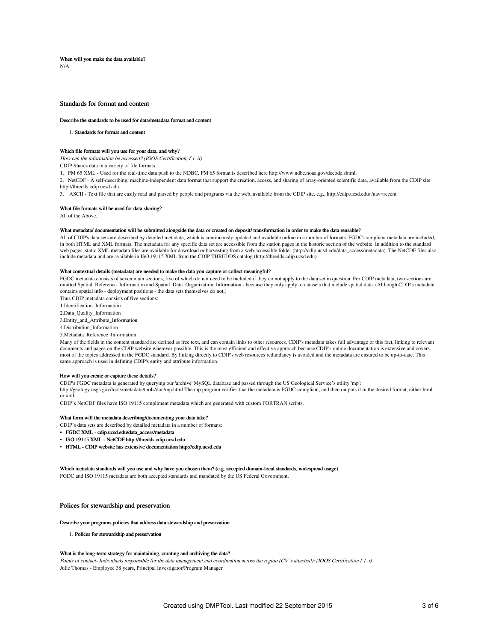When will you make the data available? N/A

## Standards for format and content

#### Describe the standards to be used for data/metadata format and content

1. Standards for format and content

### Which file formats will you use for your data, and why?

How can the information be accessed? (IOOS Certification, f 1. ii)

CDIP Shares data in a variety of file formats.

1. FM 65 XML - Used for the real-time data push to the NDBC. FM 65 format is described here http://www.ndbc.noaa.gov/decode.shtml.

2. NetCDF - A self-describing, machine-independent data format that support the creation, access, and sharing of array-oriented scientific data, available from the CDIP site http://thredds.cdip.ucsd.edu.

3. ASCII - Text file that are easily read and parsed by people and programs via the web, available from the CDIP site, e.g., http://cdip.ucsd.edu/?nav=recent

### What file formats will be used for data sharing?

All of the Above.

#### What metadata/ documentation will be submitted alongside the data or created on deposit/ transformation in order to make the data reusable?

All of CDIP's data sets are described by detailed metadata, which is continuously updated and available online in a number of formats. FGDC-compliant metadata are included, in both HTML and XML formats. The metadata for any specific data set are accessible from the station pages in the historic section of the website. In addition to the standard web pages, static XML metadata files are available for download or harvesting from a web-accessible folder (http://cdip.ucsd.edu/data\_access/metadata). The NetCDF files also include metadata and are available in ISO 19115 XML from the CDIP THREDDS catalog (http://thredds.cdip.ucsd.edu)

#### What contextual details (metadata) are needed to make the data you capture or collect meaningful?

FGDC metadata consists of seven main sections, five of which do not need to be included if they do not apply to the data set in question. For CDIP metadata, two sections are omitted Spatial\_Reference\_Information and Spatial\_Data\_Organization\_Information - because they only apply to datasets that include spatial data. (Although CDIP's metadata contains spatial info - deployment positions - the data sets themselves do not.)

Thus CDIP metadata consists of five sections:

1.Identification\_Information

2.Data\_Quality\_Information

3.Entity\_and\_Attribute\_Information

4.Distribution\_Information

#### 5.Metadata\_Reference\_Information

Many of the fields in the content standard are defined as free text, and can contain links to other resources. CDIP's metadata takes full advantage of this fact, linking to relevant documents and pages on the CDIP website wherever possible. This is the most efficient and effective approach because CDIP's online documentation is extensive and covers most of the topics addressed in the FGDC standard. By linking directly to CDIP's web resources redundancy is avoided and the metadata are ensured to be up-to-date. This same approach is used in defining CDIP's entity and attribute information.

#### How will you create or capture these details?

CDIP's FGDC metadata is generated by querying our 'archive' MySQL database and passed through the US Geological Service's utility 'mp': http://geology.usgs.gov/tools/metadata/tools/doc/mp.html The mp program verifies that the metadata is FGDC-compliant, and then outputs it in the desired format, either html or xml.

CDIP's NetCDF files have ISO 19115 compliment metadata which are generated with custom FORTRAN scripts.

#### What form will the metadata describing/documenting your data take?

- CDIP's data sets are described by detailed metadata in a number of formats:
- FGDC XML cdip.ucsd.edu/data\_access/metadata
- ISO 19115 XML NetCDF http://thredds.cdip.ucsd.edu
- HTML CDIP website has extensive documentation http://cdip.ucsd.edu

Which metadata standards will you use and why have you chosen them? (e.g. accepted domain-local standards, widespread usage) FGDC and ISO 19115 metadata are both accepted standards and mandated by the US Federal Government.

## Polices for stewardship and preservation

## Describe your programs policies that address data stewardship and preservation

1. Polices for stewardship and preservation

#### What is the long-term strategy for maintaining, curating and archiving the data?

Points of contact- Individuals responsible for the data management and coordination across the region (CV's attached); (IOOS Certification f 1. i) Julie Thomas - Employee 38 years, Principal Investigator/Program Manager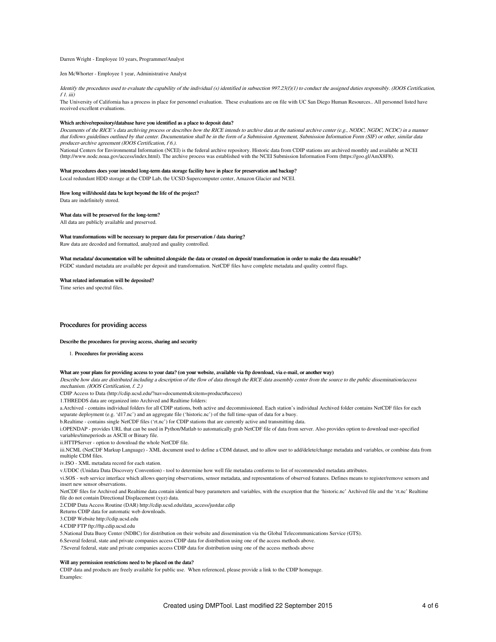#### Darren Wright - Employee 10 years, Programmer/Analyst

#### Jen McWhorter - Employee 1 year, Administrative Analyst

Identify the procedures used to evaluate the capability of the individual (s) identified in subsection 997.23(f)(1) to conduct the assigned duties responsibly. (IOOS Certification,  $f1.$  iii)

The University of California has a process in place for personnel evaluation. These evaluations are on file with UC San Diego Human Resources.. All personnel listed have received excellent evaluations.

#### Which archive/repository/database have you identified as a place to deposit data?

Documents of the RICE's data archiving process or describes how the RICE intends to archive data at the national archive center (e.g., NODC, NGDC, NCDC) in <sup>a</sup> manner that follows guidelines outlined by that center. Documentation shall be in the form of <sup>a</sup> Submission Agreement, Submission Information Form (SIF) or other, similar data producer-archive agreement (IOOS Certification, f 6.).

National Centers for Environmental Information (NCEI) is the federal archive repository. Historic data from CDIP stations are archived monthly and available at NCEI (http://www.nodc.noaa.gov/access/index.html). The archive process was established with the NCEI Submission Information Form (https://goo.gl/AmX8F8).

#### What procedures does your intended long-term data storage facility have in place for preservation and backup?

Local redundant HDD storage at the CDIP Lab, the UCSD Supercomputer center, Amazon Glacier and NCEI.

#### How long will/should data be kept beyond the life of the project?

Data are indefinitely stored.

### What data will be preserved for the long-term?

All data are publicly available and preserved.

#### What transformations will be necessary to prepare data for preservation / data sharing?

Raw data are decoded and formatted, analyzed and quality controlled.

#### What metadata/ documentation will be submitted alongside the data or created on deposit/ transformation in order to make the data reusable? FGDC standard metadata are available per deposit and transformation. NetCDF files have complete metadata and quality control flags.

#### What related information will be deposited?

Time series and spectral files.

## Procedures for providing access

#### Describe the procedures for proving access, sharing and security

#### 1. Procedures for providing access

#### What are your plans for providing access to your data? (on your website, available via ftp download, via e-mail, or another way)

Describe how data are distributed including <sup>a</sup> description of the flow of data through the RICE data assembly center from the source to the public dissemination/access mechanism. (IOOS Certification, f. 2.)

CDIP Access to Data (http://cdip.ucsd.edu/?nav=documents&xitem=product#access)

1.THREDDS data are organized into Archived and Realtime folders:

a.Archived - contains individual folders for all CDIP stations, both active and decommissioned. Each station's individual Archived folder contains NetCDF files for each separate deployment (e.g. 'd17.nc') and an aggregate file ('historic.nc') of the full time-span of data for a buoy.

b.Realtime - contains single NetCDF files ('rt.nc') for CDIP stations that are currently active and transmitting data.

i.OPENDAP - provides URL that can be used in Python/Matlab to automatically grab NetCDF file of data from server. Also provides option to download user-specified variables/timeperiods as ASCII or Binary file.

ii.HTTPServer - option to download the whole NetCDF file.

iii.NCML (NetCDF Markup Language) - XML document used to define a CDM dataset, and to allow user to add/delete/change metadata and variables, or combine data from multiple CDM files.

iv.ISO - XML metadata record for each station.

v.UDDC (Unidata Data Discovery Convention) - tool to determine how well file metadata conforms to list of recommended metadata attributes.

vi.SOS - web service interface which allows querying observations, sensor metadata, and representations of observed features. Defines means to register/remove sensors and insert new sensor observations.

NetCDF files for Archived and Realtime data contain identical buoy parameters and variables, with the exception that the 'historic.nc' Archived file and the 'rt.nc' Realtime file do not contain Directional Displacement (xyz) data.

2.CDIP Data Access Routine (DAR) http://cdip.ucsd.edu/data\_access/justdar.cdip

Returns CDIP data for automatic web downloads.

3.CDIP Website http://cdip.ucsd.edu

4.CDIP FTP ftp://ftp.cdip.ucsd.edu

5.National Data Buoy Center (NDBC) for distribution on their website and dissemination via the Global Telecommunications Service (GTS).

6.Several federal, state and private companies access CDIP data for distribution using one of the access methods above.

7.Several federal, state and private companies access CDIP data for distribution using one of the access methods above

## Will any permission restrictions need to be placed on the data?

CDIP data and products are freely available for public use. When referenced, please provide a link to the CDIP homepage. Examples: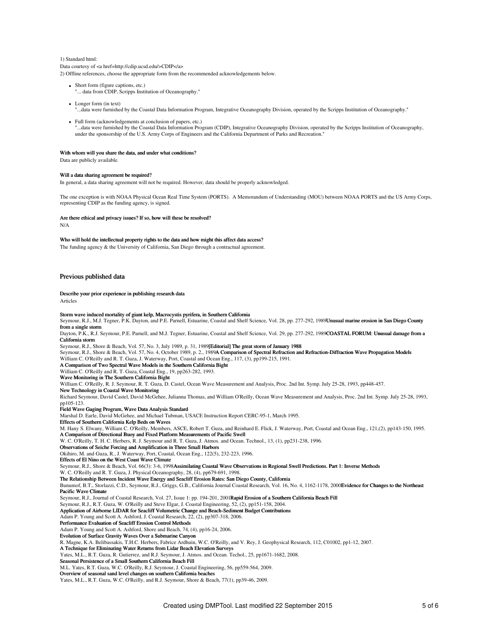## 1) Standard html: Data courtesy of <a href=http://cdip.ucsd.edu/>CDIP</a>

2) Offline references, choose the appropriate form from the recommended acknowledgements below.

- Short form (figure captions, etc.) ... data from CDIP, Scripps Institution of Oceanography."
- Longer form (in text)
	- "...data were furnished by the Coastal Data Information Program, Integrative Oceanography Division, operated by the Scripps Institution of Oceanography."
- Full form (acknowledgements at conclusion of papers, etc.) "...data were furnished by the Coastal Data Information Program (CDIP), Integrative Oceanography Division, operated by the Scripps Institution of Oceanography, under the sponsorship of the U.S. Army Corps of Engineers and the California Department of Parks and Recreation."

#### With whom will you share the data, and under what conditions?

Data are publicly available.

#### Will a data sharing agreement be required?

In general, a data sharing agreement will not be required. However, data should be properly acknowledged.

The one exception is with NOAA Physical Ocean Real Time System (PORTS). A Memorandum of Understanding (MOU) between NOAA PORTS and the US Army Corps, representing CDIP as the funding agency, is signed.

#### Are there ethical and privacy issues? If so, how will these be resolved?

N/A

#### Who will hold the intellectual property rights to the data and how might this affect data access?

The funding agency & the University of California, San Diego through a contractual agreement.

## Previous published data

#### Describe your prior experience in publishing research data

Articles

## Storm wave induced mortality of giant kelp, Macrocystis pyrifera, in Southern California

Seymour, R.J., M.J. Tegner, P.K. Dayton, and P.E. Parnell, Estuarine, Coastal and Shelf Science, Vol. 28, pp. 277-292, 1989Unusual marine erosion in San Diego County from a single storm

Dayton, P.K., R.J. Seymour, P.E. Parnell, and M.J. Tegner, Estuarine, Coastal and Shelf Science, Vol. 29, pp. 277-292, 1989COASTAL FORUM: Unusual damage from a California storn

Seymour, R.J., Shore & Beach, Vol. 57, No. 3, July 1989, p. 31, 1989[Editorial] The great storm of January 1988

Seymour, R.J., Shore & Beach, Vol. 57, No. 4, October 1989, p. 2., 1989A Comparison of Spectral Refraction and Refraction-Diffraction Wave Propagation Models

William C. O'Reilly and R. T. Guza, J. Waterway, Port, Coastal and Ocean Eng., 117, (3), pp199-215, 1991.

A Comparison of Two Spectral Wave Models in the Southern California Bight

#### William C. O'Reilly and R. T. Guza, Coastal Eng., 19, pp263-282, 1993. Wave Monitoring in The Southern California Bight

William C. O'Reilly, R. J. Seymour, R. T. Guza, D. Castel, Ocean Wave Measurement and Analysis, Proc. 2nd Int. Symp. July 25-28, 1993, pp448-457.

New Technology in Coastal Wave Monitoring

Richard Seymour, David Castel, David McGehee, Julianna Thomas, and William O'Reilly, Ocean Wave Measurement and Analysis, Proc. 2nd Int. Symp. July 25-28, 1993,

# pp105-123. Field Wave Gaging Program, Wave Data Analysis Standard

Marshal D. Earle, David McGehee, and Michael Tubman, USACE Instruction Report CERC-95-1, March 1995.

Effects of Southern California Kelp Beds on Waves

M. Hany S. Elwany, William C. O'Reilly, Members, ASCE, Robert T. Guza, and Reinhard E. Flick, J. Waterway, Port, Coastal and Ocean Eng., 121,(2), pp143-150, 1995.

A Comparison of Directional Buoy and Fixed Platform Measurements of Pacific Swell W. C. O'Reilly, T. H. C. Herbers, R. J. Seymour and R. T. Guza, J. Atmos. and Ocean. Technol., 13, (1), pp231-238, 1996.

Observations of Seiche Forcing and Amplification in Three Small Harbors

Okihiro, M. and Guza, R., J. Waterway, Port, Coastal, Ocean Eng., 122(5), 232-223, 1996.

Effects of El Nino on the West Coast Wave Climate

Seymour, R.J., Shore & Beach, Vol. 66(3): 3-6, 1998Assimilating Coastal Wave Observations in Regional Swell Predictions. Part 1: Inverse Methods

W. C. O'Reilly and R. T. Guza, J. Physical Oceanography, 28, (4), pp679-691, 1998.

The Relationship Between Incident Wave Energy and Seacliff Erosion Rates: San Diego County, California Bunumof, B.T., Storlazzi, C.D., Seymour, R.J., Griggs, G.B., California Journal Coastal Research, Vol. 16, No. 4, 1162-1178, 2000Evidence for Changes to the Northeast Pacific Wave Climate

Seymour, R.J., Journal of Coastal Research, Vol. 27, Issue 1: pp. 194-201, 2001Rapid Erosion of a Southern California Beach Fill

Seymour, R.J., R.T. Guza, W. O'Reilly and Steve Elgar, J. Coastal Engineering, 52, (2), pp151-158, 2004.

Application of Airborne LIDAR for Seacliff Volumetric Change and Beach-Sediment Budget Contributions

Adam P. Young and Scott A. Ashford, J. Coastal Research, 22, (2), pp307-318, 2006.

Performance Evaluation of Seacliff Erosion Control Methods

Adam P. Young and Scott A. Ashford, Shore and Beach, 74, (4), pp16-24, 2006.

Evolution of Surface Gravity Waves Over a Submarine Canyon

R. Magne, K.A. Belibassakis, T.H.C. Herbers, Fabrice Ardhuin, W.C. O'Reilly, and V. Rey, J. Geophysical Research, 112, C01002, pp1-12, 2007.

A Technique for Eliminating Water Returns from Lidar Beach Elevation Surveys

Yates, M.L., R.T. Guza, R. Gutierrez, and R.J. Seymour, J. Atmos. and Ocean. Techol., 25, pp1671-1682, 2008.

Seasonal Persistence of a Small Southern California Beach Fill

M.L. Yates, R.T. Guza, W.C. O'Reilly, R.J. Seymour, J. Coastal Engineering, 56, pp559-564, 2009.

Overview of seasonal sand level changes on southern California beaches

Yates, M.L., R.T. Guza, W.C. O'Reilly, and R.J. Seymour, Shore & Beach, 77(1), pp39-46, 2009.